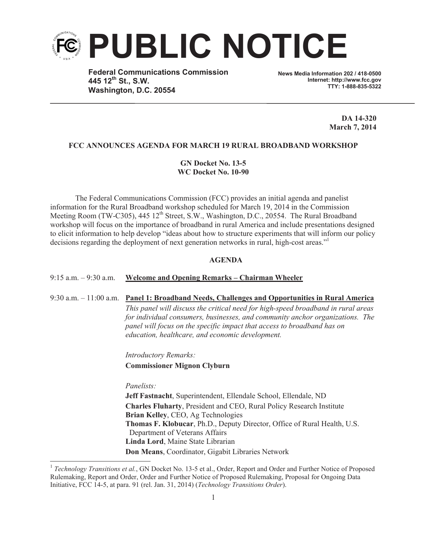

**Federal Communications Commission 445 12th St., S.W. Washington, D.C. 20554**

**News Media Information 202 / 418-0500 Internet: http://www.fcc.gov TTY: 1-888-835-5322**

> **DA 14-320 March 7, 2014**

## **FCC ANNOUNCES AGENDA FOR MARCH 19 RURAL BROADBAND WORKSHOP**

**GN Docket No. 13-5 WC Docket No. 10-90**

The Federal Communications Commission (FCC) provides an initial agenda and panelist information for the Rural Broadband workshop scheduled for March 19, 2014 in the Commission Meeting Room (TW-C305), 445  $12<sup>th</sup>$  Street, S.W., Washington, D.C., 20554. The Rural Broadband workshop will focus on the importance of broadband in rural America and include presentations designed to elicit information to help develop "ideas about how to structure experiments that will inform our policy decisions regarding the deployment of next generation networks in rural, high-cost areas."<sup>1</sup>

#### **AGENDA**

## 9:15 a.m. – 9:30 a.m. **Welcome and Opening Remarks – Chairman Wheeler**

9:30 a.m. – 11:00 a.m. **Panel 1: Broadband Needs, Challenges and Opportunities in Rural America** *This panel will discuss the critical need for high-speed broadband in rural areas for individual consumers, businesses, and community anchor organizations. The panel will focus on the specific impact that access to broadband has on education, healthcare, and economic development.* 

*Introductory Remarks:* 

**Commissioner Mignon Clyburn**

*Panelists:*

**Jeff Fastnacht**, Superintendent, Ellendale School, Ellendale, ND **Charles Fluharty**, President and CEO, Rural Policy Research Institute **Brian Kelley**, CEO, Ag Technologies **Thomas F. Klobucar**, Ph.D., Deputy Director, Office of Rural Health, U.S. Department of Veterans Affairs **Linda Lord**, Maine State Librarian **Don Means**, Coordinator, Gigabit Libraries Network

<sup>&</sup>lt;sup>1</sup> Technology Transitions et al., GN Docket No. 13-5 et al., Order, Report and Order and Further Notice of Proposed Rulemaking, Report and Order, Order and Further Notice of Proposed Rulemaking, Proposal for Ongoing Data Initiative, FCC 14-5, at para. 91 (rel. Jan. 31, 2014) (*Technology Transitions Order*).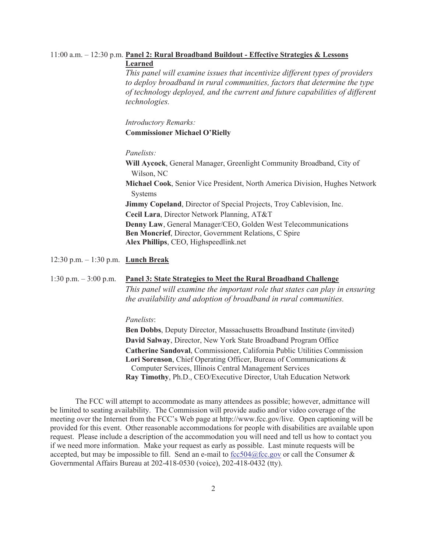# 11:00 a.m. – 12:30 p.m. **Panel 2: Rural Broadband Buildout - Effective Strategies & Lessons Learned**

*This panel will examine issues that incentivize different types of providers to deploy broadband in rural communities, factors that determine the type of technology deployed, and the current and future capabilities of different technologies.*

*Introductory Remarks:* **Commissioner Michael O'Rielly**

# *Panelists:*

**Will Aycock**, General Manager, Greenlight Community Broadband, City of Wilson, NC **Michael Cook**, Senior Vice President, North America Division, Hughes Network Systems **Jimmy Copeland**, Director of Special Projects, Troy Cablevision, Inc. **Cecil Lara**, Director Network Planning, AT&T **Denny Law**, General Manager/CEO, Golden West Telecommunications **Ben Moncrief**, Director, Government Relations, C Spire **Alex Phillips**, CEO, Highspeedlink.net

12:30 p.m. – 1:30 p.m. **Lunch Break**

## 1:30 p.m. – 3:00 p.m. **Panel 3: State Strategies to Meet the Rural Broadband Challenge**

*This panel will examine the important role that states can play in ensuring the availability and adoption of broadband in rural communities.* 

#### *Panelists*:

**Ben Dobbs**, Deputy Director, Massachusetts Broadband Institute (invited) **David Salway**, Director, New York State Broadband Program Office **Catherine Sandoval**, Commissioner, California Public Utilities Commission **Lori Sorenson**, Chief Operating Officer, Bureau of Communications & Computer Services, Illinois Central Management Services **Ray Timothy**, Ph.D., CEO/Executive Director, Utah Education Network

The FCC will attempt to accommodate as many attendees as possible; however, admittance will be limited to seating availability. The Commission will provide audio and/or video coverage of the meeting over the Internet from the FCC's Web page at http://www.fcc.gov/live. Open captioning will be provided for this event. Other reasonable accommodations for people with disabilities are available upon request. Please include a description of the accommodation you will need and tell us how to contact you if we need more information. Make your request as early as possible. Last minute requests will be accepted, but may be impossible to fill. Send an e-mail to fcc504@fcc.gov or call the Consumer  $\&$ Governmental Affairs Bureau at 202-418-0530 (voice), 202-418-0432 (tty).